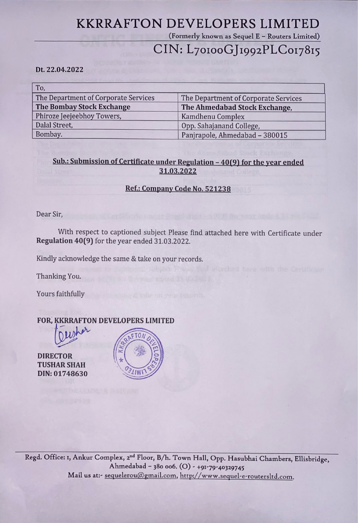# KKRRAFTON DEVELOPERS LIMITED KKRAFTON D

## CIN: L7o100GJi992PLCo17815

### Dt. 22.04.2022

| <b>KKRRAFTON DEVELOPERS LIMITED</b>            |                                      |
|------------------------------------------------|--------------------------------------|
| (Formerly known as Sequel E - Routers Limited) |                                      |
| CIN: L70100GJ1992PLC017815                     |                                      |
|                                                |                                      |
| Dt. 22.04.2022                                 |                                      |
|                                                |                                      |
| To,                                            |                                      |
| The Department of Corporate Services           | The Department of Corporate Services |
| <b>The Bombay Stock Exchange</b>               | The Ahmedabad Stock Exchange,        |
| Phiroze Jeejeebhoy Towers,                     | Kamdhenu Complex                     |
| Dalal Street,                                  | Opp. Sahajanand College,             |
| Bombay.                                        | Panjrapole, Ahmedabad - 380015       |

### Sub.: Submission of Certificate under Regulation - 40(9) for the year ended 31.03.2022

### Ref.: Company Code No. 521238

Dear Sir,

With respect to captioned subject Please find attached here with Certificate under Regulation 40(9) for the year ended 31.03.2022. Fanyapole, Ahmedaad - 380015<br>
Sub. Submission of Certificate under Regulation - 40(9) for the year ended<br>  $8.621238$ <br>
Dear Sir,<br>
With respect to captioned subject Please find attached here with Certificate under<br>
Regulati

Kindly acknowledge the same & take on your records.

Thanking You.

Yours faithfully

### FOR, KKRRAFTON DEVELOPERS LIMITED

per

DIRECTOR TUSHAR SHAH

DIN: 01748630



Mail us at:- <u>sequelerou@gmail.com, http://www.sequel-e-routersltd.com,</u><br>,<br>, Regd. Office: 1, Ankur Complex, 2<sup>nd</sup> Floor, B/h. Town Hall, Opp. Hasubhai Chambers, Ellisbridge,<br>Ahmedabad - 380 006. (O) - +91-79-40329745